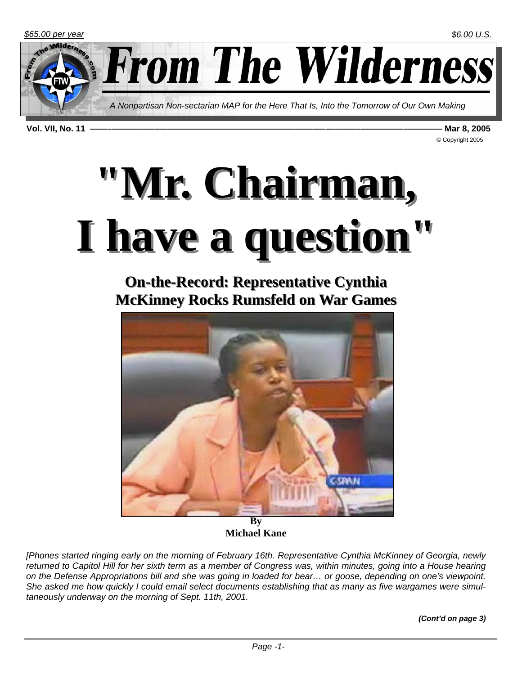

**From The Wilderness** 

*A Nonpartisan Non-sectarian MAP for the Here That Is, Into the Tomorrow of Our Own Making* 

**Vol. VII, No. 11 ——–—————–———————————————————–—–——–—————–———— Mar 8, 2005** 

© Copyright 2005

# **"Mr. Chairman, "Mr. Chairman, I have a question" I have a question"**

**On-the-Record: Representative Cynthia McKinney Rocks Rumsfeld on War Games** 



**By Michael Kane** 

*[Phones started ringing early on the morning of February 16th. Representative Cynthia McKinney of Georgia, newly*  returned to Capitol Hill for her sixth term as a member of Congress was, within minutes, going into a House hearing *on the Defense Appropriations bill and she was going in loaded for bear… or goose, depending on one's viewpoint. She asked me how quickly I could email select documents establishing that as many as five wargames were simultaneously underway on the morning of Sept. 11th, 2001.*

*(Cont'd on page 3)*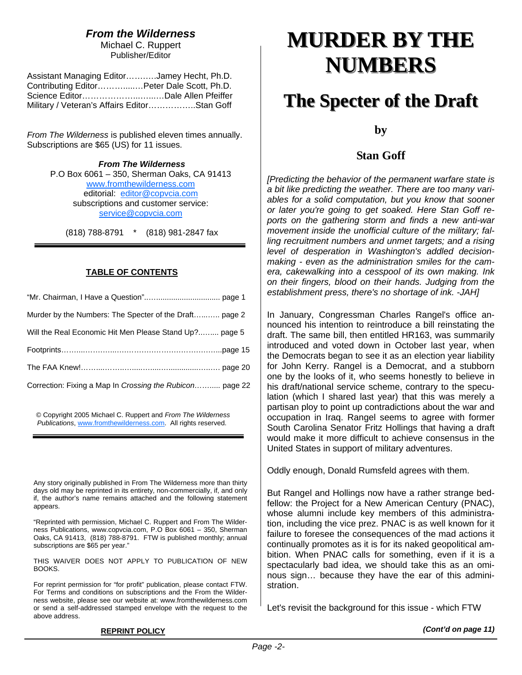## *From the Wilderness*

Michael C. Ruppert Publisher/Editor

| Assistant Managing EditorJamey Hecht, Ph.D.  |  |
|----------------------------------------------|--|
| Contributing EditorPeter Dale Scott, Ph.D.   |  |
|                                              |  |
| Military / Veteran's Affairs EditorStan Goff |  |

*From The Wilderness* is published eleven times annually. Subscriptions are \$65 (US) for 11 issues.

> *From The Wilderness*  P.O Box 6061 – 350, Sherman Oaks, CA 91413 www.fromthewilderness.com editorial: editor@copvcia.com subscriptions and customer service: service@copvcia.com

(818) 788-8791 \* (818) 981-2847 fax

## **TABLE OF CONTENTS**

| Murder by the Numbers: The Specter of the Draft page 2   |
|----------------------------------------------------------|
| Will the Real Economic Hit Men Please Stand Up? page 5   |
|                                                          |
|                                                          |
| Correction: Fixing a Map In Crossing the Rubicon page 22 |

© Copyright 2005 Michael C. Ruppert and *From The Wilderness Publications*, www.fromthewilderness.com. All rights reserved.

Ξ

Any story originally published in From The Wilderness more than thirty days old may be reprinted in its entirety, non-commercially, if, and only if, the author's name remains attached and the following statement appears.

"Reprinted with permission, Michael C. Ruppert and From The Wilderness Publications, www.copvcia.com, P.O Box 6061 – 350, Sherman Oaks, CA 91413, (818) 788-8791. FTW is published monthly; annual subscriptions are \$65 per year."

THIS WAIVER DOES NOT APPLY TO PUBLICATION OF NEW BOOKS.

For reprint permission for "for profit" publication, please contact FTW. For Terms and conditions on subscriptions and the From the Wilderness website, please see our website at: www.fromthewilderness.com or send a self-addressed stamped envelope with the request to the above address.

## **MURDER BY THE MURDER BY THE NUMBERS NUMBERS**

## **The Specter of the Draft The Specter of the Draft**

**by** 

## **Stan Goff**

*[Predicting the behavior of the permanent warfare state is a bit like predicting the weather. There are too many variables for a solid computation, but you know that sooner or later you're going to get soaked. Here Stan Goff reports on the gathering storm and finds a new anti-war movement inside the unofficial culture of the military; falling recruitment numbers and unmet targets; and a rising level of desperation in Washington's addled decisionmaking - even as the administration smiles for the camera, cakewalking into a cesspool of its own making. Ink on their fingers, blood on their hands. Judging from the establishment press, there's no shortage of ink. -JAH]*

In January, Congressman Charles Rangel's office announced his intention to reintroduce a bill reinstating the draft. The same bill, then entitled HR163, was summarily introduced and voted down in October last year, when the Democrats began to see it as an election year liability for John Kerry. Rangel is a Democrat, and a stubborn one by the looks of it, who seems honestly to believe in his draft/national service scheme, contrary to the speculation (which I shared last year) that this was merely a partisan ploy to point up contradictions about the war and occupation in Iraq. Rangel seems to agree with former South Carolina Senator Fritz Hollings that having a draft would make it more difficult to achieve consensus in the United States in support of military adventures.

Oddly enough, Donald Rumsfeld agrees with them.

But Rangel and Hollings now have a rather strange bedfellow: the Project for a New American Century (PNAC), whose alumni include key members of this administration, including the vice prez. PNAC is as well known for it failure to foresee the consequences of the mad actions it continually promotes as it is for its naked geopolitical ambition. When PNAC calls for something, even if it is a spectacularly bad idea, we should take this as an ominous sign… because they have the ear of this administration.

Let's revisit the background for this issue - which FTW

**REPRINT POLICY**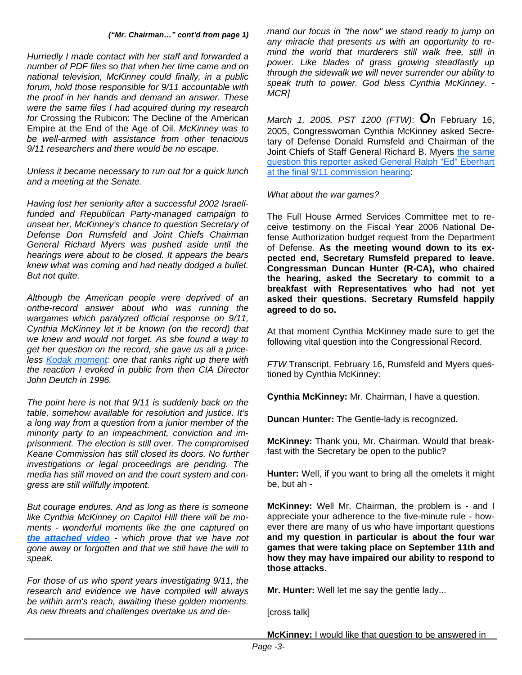#### *("Mr. Chairman…" cont'd from page 1)*

*Hurriedly I made contact with her staff and forwarded a number of PDF files so that when her time came and on national television, McKinney could finally, in a public forum, hold those responsible for 9/11 accountable with the proof in her hands and demand an answer. These were the same files I had acquired during my research for* Crossing the Rubicon: The Decline of the American Empire at the End of the Age of Oil. *McKinney was to be well-armed with assistance from other tenacious 9/11 researchers and there would be no escape.* 

*Unless it became necessary to run out for a quick lunch and a meeting at the Senate.* 

*Having lost her seniority after a successful 2002 Israelifunded and Republican Party-managed campaign to unseat her, McKinney's chance to question Secretary of Defense Don Rumsfeld and Joint Chiefs Chairman General Richard Myers was pushed aside until the hearings were about to be closed. It appears the bears knew what was coming and had neatly dodged a bullet. But not quite.*

*Although the American people were deprived of an onthe-record answer about who was running the wargames which paralyzed official response on 9/11, Cynthia McKinney let it be known (on the record) that we knew and would not forget. As she found a way to get her question on the record, she gave us all a priceless Kodak moment: one that ranks right up there with the reaction I evoked in public from then CIA Director John Deutch in 1996.*

*The point here is not that 9/11 is suddenly back on the table, somehow available for resolution and justice. It's a long way from a question from a junior member of the minority party to an impeachment, conviction and imprisonment. The election is still over. The compromised Keane Commission has still closed its doors. No further investigations or legal proceedings are pending. The media has still moved on and the court system and congress are still willfully impotent.*

*But courage endures. And as long as there is someone like Cynthia McKinney on Capitol Hill there will be moments - wonderful moments like the one captured on the attached video - which prove that we have not gone away or forgotten and that we still have the will to speak.*

*For those of us who spent years investigating 9/11, the research and evidence we have compiled will always be within arm's reach, awaiting these golden moments. As new threats and challenges overtake us and de-* *mand our focus in "the now" we stand ready to jump on any miracle that presents us with an opportunity to remind the world that murderers still walk free, still in power. Like blades of grass growing steadfastly up through the sidewalk we will never surrender our ability to speak truth to power. God bless Cynthia McKinney. - MCR]*

*March 1, 2005, PST 1200 (FTW)*: **O**n February 16, 2005, Congresswoman Cynthia McKinney asked Secretary of Defense Donald Rumsfeld and Chairman of the Joint Chiefs of Staff General Richard B. Myers the same question this reporter asked General Ralph "Ed" Eberhart at the final 9/11 commission hearing:

*What about the war games?*

The Full House Armed Services Committee met to receive testimony on the Fiscal Year 2006 National Defense Authorization budget request from the Department of Defense. **As the meeting wound down to its expected end, Secretary Rumsfeld prepared to leave. Congressman Duncan Hunter (R-CA), who chaired the hearing, asked the Secretary to commit to a breakfast with Representatives who had not yet asked their questions. Secretary Rumsfeld happily agreed to do so.**

At that moment Cynthia McKinney made sure to get the following vital question into the Congressional Record.

*FTW* Transcript, February 16, Rumsfeld and Myers questioned by Cynthia McKinney:

**Cynthia McKinney:** Mr. Chairman, I have a question.

**Duncan Hunter:** The Gentle-lady is recognized.

**McKinney:** Thank you, Mr. Chairman. Would that breakfast with the Secretary be open to the public?

**Hunter:** Well, if you want to bring all the omelets it might be, but ah -

**McKinney:** Well Mr. Chairman, the problem is - and I appreciate your adherence to the five-minute rule - however there are many of us who have important questions **and my question in particular is about the four war games that were taking place on September 11th and how they may have impaired our ability to respond to those attacks.**

**Mr. Hunter:** Well let me say the gentle lady...

[cross talk]

**McKinney:** I would like that question to be answered in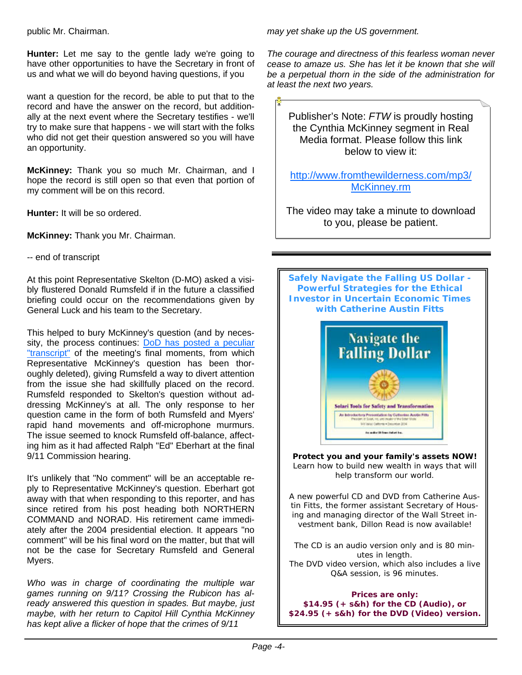public Mr. Chairman.

**Hunter:** Let me say to the gentle lady we're going to have other opportunities to have the Secretary in front of us and what we will do beyond having questions, if you

want a question for the record, be able to put that to the record and have the answer on the record, but additionally at the next event where the Secretary testifies - we'll try to make sure that happens - we will start with the folks who did not get their question answered so you will have an opportunity.

**McKinney:** Thank you so much Mr. Chairman, and I hope the record is still open so that even that portion of my comment will be on this record.

**Hunter:** It will be so ordered.

**McKinney:** Thank you Mr. Chairman.

-- end of transcript

At this point Representative Skelton (D-MO) asked a visibly flustered Donald Rumsfeld if in the future a classified briefing could occur on the recommendations given by General Luck and his team to the Secretary.

This helped to bury McKinney's question (and by necessity, the process continues: DoD has posted a peculiar "transcript" of the meeting's final moments, from which Representative McKinney's question has been thoroughly deleted), giving Rumsfeld a way to divert attention from the issue she had skillfully placed on the record. Rumsfeld responded to Skelton's question without addressing McKinney's at all. The only response to her question came in the form of both Rumsfeld and Myers' rapid hand movements and off-microphone murmurs. The issue seemed to knock Rumsfeld off-balance, affecting him as it had affected Ralph "Ed" Eberhart at the final 9/11 Commission hearing.

It's unlikely that "No comment" will be an acceptable reply to Representative McKinney's question. Eberhart got away with that when responding to this reporter, and has since retired from his post heading both NORTHERN COMMAND and NORAD. His retirement came immediately after the 2004 presidential election. It appears "no comment" will be his final word on the matter, but that will not be the case for Secretary Rumsfeld and General Myers.

*Who was in charge of coordinating the multiple war games running on 9/11? Crossing the Rubicon has already answered this question in spades. But maybe, just maybe, with her return to Capitol Hill Cynthia McKinney has kept alive a flicker of hope that the crimes of 9/11* 

*may yet shake up the US government.*

*The courage and directness of this fearless woman never cease to amaze us. She has let it be known that she will be a perpetual thorn in the side of the administration for at least the next two years.* 

Publisher's Note: *FTW* is proudly hosting the Cynthia McKinney segment in Real Media format. Please follow this link below to view it:

http://www.fromthewilderness.com/mp3/ McKinney.rm

The video may take a minute to download to you, please be patient.



**Protect you and your family's assets NOW!** Learn how to build new wealth in ways that will help transform our world.

A new powerful CD and DVD from Catherine Austin Fitts, the former assistant Secretary of Housing and managing director of the Wall Street investment bank, Dillon Read is now available!

The CD is an audio version only and is 80 minutes in length. The DVD video version, which *also* includes a live Q&A session, is 96 minutes.

**Prices are only: \$14.95 (+ s&h) for the CD (Audio), or \$24.95 (+ s&h) for the DVD (Video) version.**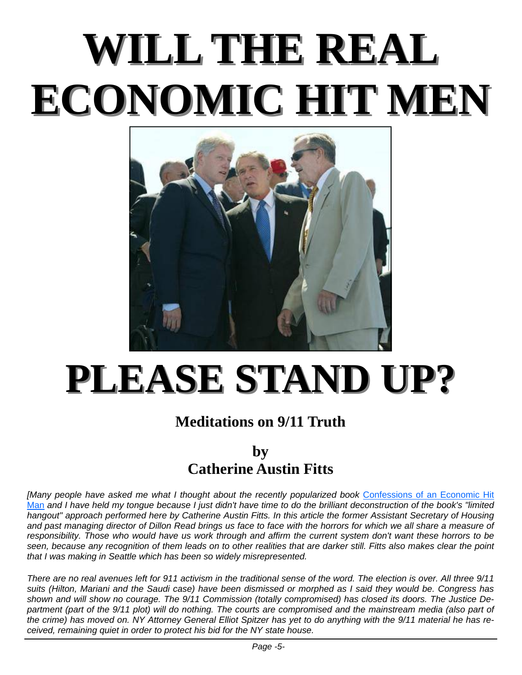# **WILL THE REAL WILL THE REAL ECONOMIC HIT MEN ECONOMIC HIT MEN**



# **PLEASE STAND UP? PLEASE STAND UP?**

## **Meditations on 9/11 Truth**

## **by**

## **Catherine Austin Fitts**

*[Many people have asked me what I thought about the recently popularized book* Confessions of an Economic Hit Man *and I have held my tongue because I just didn't have time to do the brilliant deconstruction of the book's "limited hangout" approach performed here by Catherine Austin Fitts. In this article the former Assistant Secretary of Housing and past managing director of Dillon Read brings us face to face with the horrors for which we all share a measure of responsibility. Those who would have us work through and affirm the current system don't want these horrors to be seen, because any recognition of them leads on to other realities that are darker still. Fitts also makes clear the point that I was making in Seattle which has been so widely misrepresented.* 

*There are no real avenues left for 911 activism in the traditional sense of the word. The election is over. All three 9/11 suits (Hilton, Mariani and the Saudi case) have been dismissed or morphed as I said they would be. Congress has shown and will show no courage. The 9/11 Commission (totally compromised) has closed its doors. The Justice De*partment (part of the 9/11 plot) will do nothing. The courts are compromised and the mainstream media (also part of *the crime) has moved on. NY Attorney General Elliot Spitzer has yet to do anything with the 9/11 material he has received, remaining quiet in order to protect his bid for the NY state house.*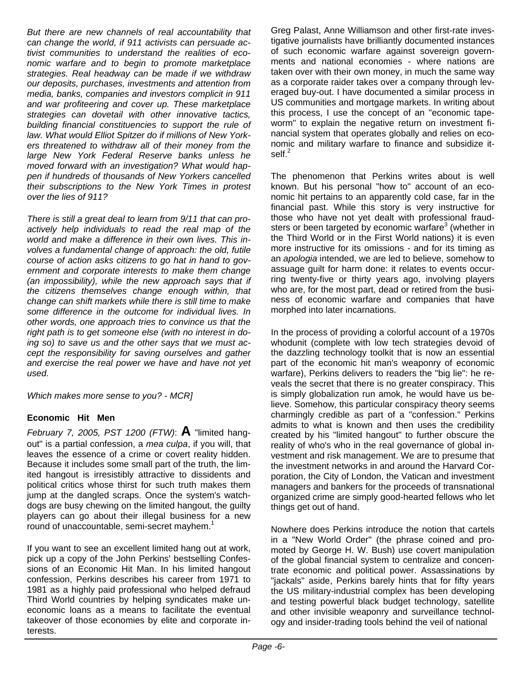*But there are new channels of real accountability that can change the world, if 911 activists can persuade activist communities to understand the realities of economic warfare and to begin to promote marketplace strategies. Real headway can be made if we withdraw our deposits, purchases, investments and attention from media, banks, companies and investors complicit in 911 and war profiteering and cover up. These marketplace strategies can dovetail with other innovative tactics, building financial constituencies to support the rule of law. What would Elliot Spitzer do if millions of New Yorkers threatened to withdraw all of their money from the large New York Federal Reserve banks unless he moved forward with an investigation? What would happen if hundreds of thousands of New Yorkers cancelled their subscriptions to the New York Times in protest over the lies of 911?*

*There is still a great deal to learn from 9/11 that can proactively help individuals to read the real map of the world and make a difference in their own lives. This involves a fundamental change of approach: the old, futile course of action asks citizens to go hat in hand to government and corporate interests to make them change (an impossibility), while the new approach says that if the citizens themselves change enough within, that change can shift markets while there is still time to make some difference in the outcome for individual lives. In other words, one approach tries to convince us that the right path is to get someone else (with no interest in doing so) to save us and the other says that we must accept the responsibility for saving ourselves and gather and exercise the real power we have and have not yet used.*

*Which makes more sense to you? - MCR]* 

## **Economic Hit Men**

*February 7, 2005, PST 1200 (FTW)*: **A** "limited hangout" is a partial confession, a *mea culpa*, if you will, that leaves the essence of a crime or covert reality hidden. Because it includes some small part of the truth, the limited hangout is irresistibly attractive to dissidents and political critics whose thirst for such truth makes them jump at the dangled scraps. Once the system's watchdogs are busy chewing on the limited hangout, the guilty players can go about their illegal business for a new round of unaccountable, semi-secret mayhem.<sup>1</sup>

If you want to see an excellent limited hang out at work, pick up a copy of the John Perkins' bestselling Confessions of an Economic Hit Man. In his limited hangout confession, Perkins describes his career from 1971 to 1981 as a highly paid professional who helped defraud Third World countries by helping syndicates make uneconomic loans as a means to facilitate the eventual takeover of those economies by elite and corporate interests.

Greg Palast, Anne Williamson and other first-rate investigative journalists have brilliantly documented instances of such economic warfare against sovereign governments and national economies - where nations are taken over with their own money, in much the same way as a corporate raider takes over a company through leveraged buy-out. I have documented a similar process in US communities and mortgage markets. In writing about this process, I use the concept of an "economic tapeworm" to explain the negative return on investment financial system that operates globally and relies on economic and military warfare to finance and subsidize itself. $<sup>2</sup>$ </sup>

The phenomenon that Perkins writes about is well known. But his personal "how to" account of an economic hit pertains to an apparently cold case, far in the financial past. While this story is very instructive for those who have not yet dealt with professional fraudsters or been targeted by economic warfare<sup>3</sup> (whether in the Third World or in the First World nations) it is even more instructive for its omissions - and for its timing as an *apologia* intended, we are led to believe, somehow to assuage guilt for harm done: it relates to events occurring twenty-five or thirty years ago, involving players who are, for the most part, dead or retired from the business of economic warfare and companies that have morphed into later incarnations.

In the process of providing a colorful account of a 1970s whodunit (complete with low tech strategies devoid of the dazzling technology toolkit that is now an essential part of the economic hit man's weaponry of economic warfare), Perkins delivers to readers the "big lie": he reveals the secret that there is no greater conspiracy. This is simply globalization run amok, he would have us believe. Somehow, this particular conspiracy theory seems charmingly credible as part of a "confession." Perkins admits to what is known and then uses the credibility created by his "limited hangout" to further obscure the reality of who's who in the real governance of global investment and risk management. We are to presume that the investment networks in and around the Harvard Corporation, the City of London, the Vatican and investment managers and bankers for the proceeds of transnational organized crime are simply good-hearted fellows who let things get out of hand.

Nowhere does Perkins introduce the notion that cartels in a "New World Order" (the phrase coined and promoted by George H. W. Bush) use covert manipulation of the global financial system to centralize and concentrate economic and political power. Assassinations by "jackals" aside, Perkins barely hints that for fifty years the US military-industrial complex has been developing and testing powerful black budget technology, satellite and other invisible weaponry and surveillance technology and insider-trading tools behind the veil of national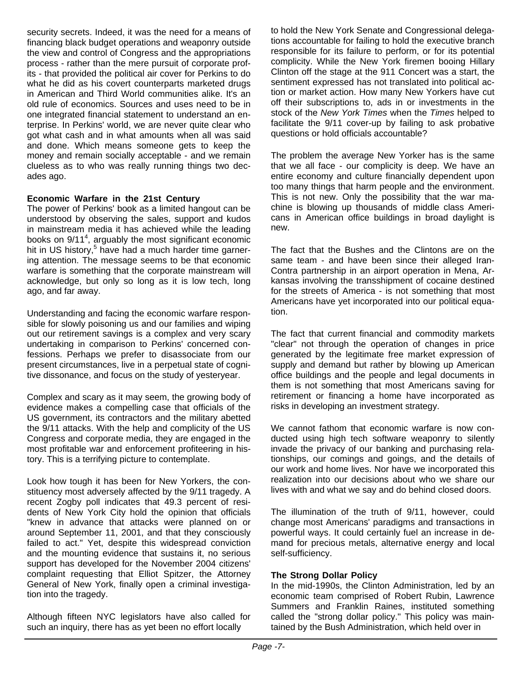security secrets. Indeed, it was the need for a means of financing black budget operations and weaponry outside the view and control of Congress and the appropriations process - rather than the mere pursuit of corporate profits - that provided the political air cover for Perkins to do what he did as his covert counterparts marketed drugs in American and Third World communities alike. It's an old rule of economics. Sources and uses need to be in one integrated financial statement to understand an enterprise. In Perkins' world, we are never quite clear who got what cash and in what amounts when all was said and done. Which means someone gets to keep the money and remain socially acceptable - and we remain clueless as to who was really running things two decades ago.

## **Economic Warfare in the 21st Century**

The power of Perkins' book as a limited hangout can be understood by observing the sales, support and kudos in mainstream media it has achieved while the leading books on 9/11<sup>4</sup>, arguably the most significant economic hit in US history,<sup>5</sup> have had a much harder time garnering attention. The message seems to be that economic warfare is something that the corporate mainstream will acknowledge, but only so long as it is low tech, long ago, and far away.

Understanding and facing the economic warfare responsible for slowly poisoning us and our families and wiping out our retirement savings is a complex and very scary undertaking in comparison to Perkins' concerned confessions. Perhaps we prefer to disassociate from our present circumstances, live in a perpetual state of cognitive dissonance, and focus on the study of yesteryear.

Complex and scary as it may seem, the growing body of evidence makes a compelling case that officials of the US government, its contractors and the military abetted the 9/11 attacks. With the help and complicity of the US Congress and corporate media, they are engaged in the most profitable war and enforcement profiteering in history. This is a terrifying picture to contemplate.

Look how tough it has been for New Yorkers, the constituency most adversely affected by the 9/11 tragedy. A recent Zogby poll indicates that 49.3 percent of residents of New York City hold the opinion that officials "knew in advance that attacks were planned on or around September 11, 2001, and that they consciously failed to act." Yet, despite this widespread conviction and the mounting evidence that sustains it, no serious support has developed for the November 2004 citizens' complaint requesting that Elliot Spitzer, the Attorney General of New York, finally open a criminal investigation into the tragedy.

Although fifteen NYC legislators have also called for such an inquiry, there has as yet been no effort locally

to hold the New York Senate and Congressional delegations accountable for failing to hold the executive branch responsible for its failure to perform, or for its potential complicity. While the New York firemen booing Hillary Clinton off the stage at the 911 Concert was a start, the sentiment expressed has not translated into political action or market action. How many New Yorkers have cut off their subscriptions to, ads in or investments in the stock of the *New York Times* when the *Times* helped to facilitate the 9/11 cover-up by failing to ask probative questions or hold officials accountable?

The problem the average New Yorker has is the same that we all face - our complicity is deep. We have an entire economy and culture financially dependent upon too many things that harm people and the environment. This is not new. Only the possibility that the war machine is blowing up thousands of middle class Americans in American office buildings in broad daylight is new.

The fact that the Bushes and the Clintons are on the same team - and have been since their alleged Iran-Contra partnership in an airport operation in Mena, Arkansas involving the transshipment of cocaine destined for the streets of America - is not something that most Americans have yet incorporated into our political equation.

The fact that current financial and commodity markets "clear" not through the operation of changes in price generated by the legitimate free market expression of supply and demand but rather by blowing up American office buildings and the people and legal documents in them is not something that most Americans saving for retirement or financing a home have incorporated as risks in developing an investment strategy.

We cannot fathom that economic warfare is now conducted using high tech software weaponry to silently invade the privacy of our banking and purchasing relationships, our comings and goings, and the details of our work and home lives. Nor have we incorporated this realization into our decisions about who we share our lives with and what we say and do behind closed doors.

The illumination of the truth of 9/11, however, could change most Americans' paradigms and transactions in powerful ways. It could certainly fuel an increase in demand for precious metals, alternative energy and local self-sufficiency.

### **The Strong Dollar Policy**

In the mid-1990s, the Clinton Administration, led by an economic team comprised of Robert Rubin, Lawrence Summers and Franklin Raines, instituted something called the "strong dollar policy." This policy was maintained by the Bush Administration, which held over in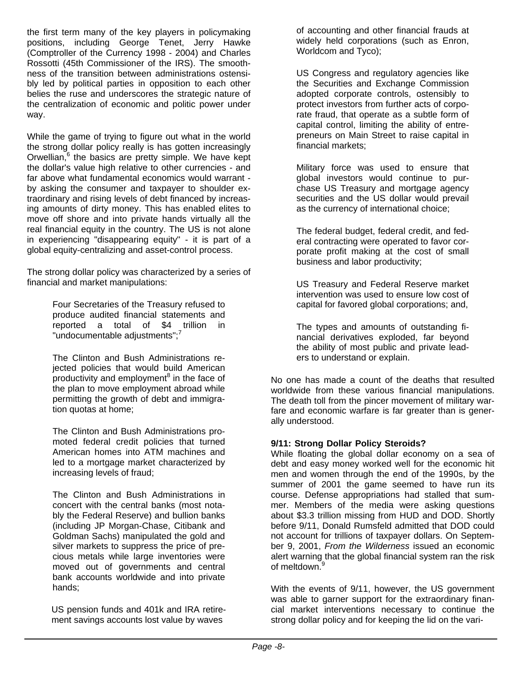the first term many of the key players in policymaking positions, including George Tenet, Jerry Hawke (Comptroller of the Currency 1998 - 2004) and Charles Rossotti (45th Commissioner of the IRS). The smoothness of the transition between administrations ostensibly led by political parties in opposition to each other belies the ruse and underscores the strategic nature of the centralization of economic and politic power under way.

While the game of trying to figure out what in the world the strong dollar policy really is has gotten increasingly Orwellian,<sup>6</sup> the basics are pretty simple. We have kept the dollar's value high relative to other currencies - and far above what fundamental economics would warrant by asking the consumer and taxpayer to shoulder extraordinary and rising levels of debt financed by increasing amounts of dirty money. This has enabled elites to move off shore and into private hands virtually all the real financial equity in the country. The US is not alone in experiencing "disappearing equity" - it is part of a global equity-centralizing and asset-control process.

The strong dollar policy was characterized by a series of financial and market manipulations:

> Four Secretaries of the Treasury refused to produce audited financial statements and reported a total of \$4 trillion in "undocumentable adjustments";<sup>7</sup>

> The Clinton and Bush Administrations rejected policies that would build American productivity and employment<sup>8</sup> in the face of the plan to move employment abroad while permitting the growth of debt and immigration quotas at home;

> The Clinton and Bush Administrations promoted federal credit policies that turned American homes into ATM machines and led to a mortgage market characterized by increasing levels of fraud;

The Clinton and Bush Administrations in concert with the central banks (most notably the Federal Reserve) and bullion banks (including JP Morgan-Chase, Citibank and Goldman Sachs) manipulated the gold and silver markets to suppress the price of precious metals while large inventories were moved out of governments and central bank accounts worldwide and into private hands;

US pension funds and 401k and IRA retirement savings accounts lost value by waves

of accounting and other financial frauds at widely held corporations (such as Enron, Worldcom and Tyco);

US Congress and regulatory agencies like the Securities and Exchange Commission adopted corporate controls, ostensibly to protect investors from further acts of corporate fraud, that operate as a subtle form of capital control, limiting the ability of entrepreneurs on Main Street to raise capital in financial markets;

Military force was used to ensure that global investors would continue to purchase US Treasury and mortgage agency securities and the US dollar would prevail as the currency of international choice;

The federal budget, federal credit, and federal contracting were operated to favor corporate profit making at the cost of small business and labor productivity;

US Treasury and Federal Reserve market intervention was used to ensure low cost of capital for favored global corporations; and,

The types and amounts of outstanding financial derivatives exploded, far beyond the ability of most public and private leaders to understand or explain.

No one has made a count of the deaths that resulted worldwide from these various financial manipulations. The death toll from the pincer movement of military warfare and economic warfare is far greater than is generally understood.

## **9/11: Strong Dollar Policy Steroids?**

While floating the global dollar economy on a sea of debt and easy money worked well for the economic hit men and women through the end of the 1990s, by the summer of 2001 the game seemed to have run its course. Defense appropriations had stalled that summer. Members of the media were asking questions about \$3.3 trillion missing from HUD and DOD. Shortly before 9/11, Donald Rumsfeld admitted that DOD could not account for trillions of taxpayer dollars. On September 9, 2001, *From the Wilderness* issued an economic alert warning that the global financial system ran the risk of meltdown.<sup>9</sup>

With the events of 9/11, however, the US government was able to garner support for the extraordinary financial market interventions necessary to continue the strong dollar policy and for keeping the lid on the vari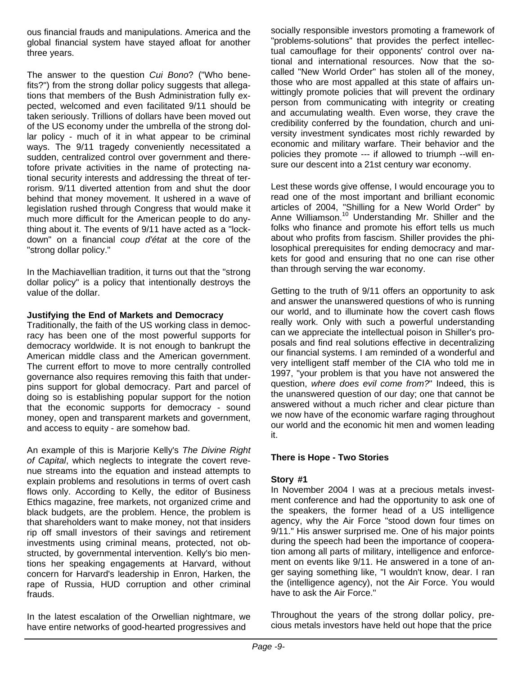ous financial frauds and manipulations. America and the global financial system have stayed afloat for another three years.

The answer to the question *Cui Bono*? ("Who benefits?") from the strong dollar policy suggests that allegations that members of the Bush Administration fully expected, welcomed and even facilitated 9/11 should be taken seriously. Trillions of dollars have been moved out of the US economy under the umbrella of the strong dollar policy - much of it in what appear to be criminal ways. The 9/11 tragedy conveniently necessitated a sudden, centralized control over government and theretofore private activities in the name of protecting national security interests and addressing the threat of terrorism. 9/11 diverted attention from and shut the door behind that money movement. It ushered in a wave of legislation rushed through Congress that would make it much more difficult for the American people to do anything about it. The events of 9/11 have acted as a "lockdown" on a financial *coup d'état* at the core of the "strong dollar policy."

In the Machiavellian tradition, it turns out that the "strong dollar policy" is a policy that intentionally destroys the value of the dollar.

### **Justifying the End of Markets and Democracy**

Traditionally, the faith of the US working class in democracy has been one of the most powerful supports for democracy worldwide. It is not enough to bankrupt the American middle class and the American government. The current effort to move to more centrally controlled governance also requires removing this faith that underpins support for global democracy. Part and parcel of doing so is establishing popular support for the notion that the economic supports for democracy - sound money, open and transparent markets and government, and access to equity - are somehow bad.

An example of this is Marjorie Kelly's *The Divine Right of Capital*, which neglects to integrate the covert revenue streams into the equation and instead attempts to explain problems and resolutions in terms of overt cash flows only. According to Kelly, the editor of Business Ethics magazine, free markets, not organized crime and black budgets, are the problem. Hence, the problem is that shareholders want to make money, not that insiders rip off small investors of their savings and retirement investments using criminal means, protected, not obstructed, by governmental intervention. Kelly's bio mentions her speaking engagements at Harvard, without concern for Harvard's leadership in Enron, Harken, the rape of Russia, HUD corruption and other criminal frauds.

In the latest escalation of the Orwellian nightmare, we have entire networks of good-hearted progressives and

socially responsible investors promoting a framework of "problems-solutions" that provides the perfect intellectual camouflage for their opponents' control over national and international resources. Now that the socalled "New World Order" has stolen all of the money, those who are most appalled at this state of affairs unwittingly promote policies that will prevent the ordinary person from communicating with integrity or creating and accumulating wealth. Even worse, they crave the credibility conferred by the foundation, church and university investment syndicates most richly rewarded by economic and military warfare. Their behavior and the policies they promote --- if allowed to triumph --will ensure our descent into a 21st century war economy.

Lest these words give offense, I would encourage you to read one of the most important and brilliant economic articles of 2004, "Shilling for a New World Order" by Anne Williamson.<sup>10</sup> Understanding Mr. Shiller and the folks who finance and promote his effort tells us much about who profits from fascism. Shiller provides the philosophical prerequisites for ending democracy and markets for good and ensuring that no one can rise other than through serving the war economy.

Getting to the truth of 9/11 offers an opportunity to ask and answer the unanswered questions of who is running our world, and to illuminate how the covert cash flows really work. Only with such a powerful understanding can we appreciate the intellectual poison in Shiller's proposals and find real solutions effective in decentralizing our financial systems. I am reminded of a wonderful and very intelligent staff member of the CIA who told me in 1997, "your problem is that you have not answered the question, *where does evil come from?*" Indeed, this is the unanswered question of our day; one that cannot be answered without a much richer and clear picture than we now have of the economic warfare raging throughout our world and the economic hit men and women leading it.

## **There is Hope - Two Stories**

## **Story #1**

In November 2004 I was at a precious metals investment conference and had the opportunity to ask one of the speakers, the former head of a US intelligence agency, why the Air Force "stood down four times on 9/11." His answer surprised me. One of his major points during the speech had been the importance of cooperation among all parts of military, intelligence and enforcement on events like 9/11. He answered in a tone of anger saying something like, "I wouldn't know, dear. I ran the (intelligence agency), not the Air Force. You would have to ask the Air Force."

Throughout the years of the strong dollar policy, precious metals investors have held out hope that the price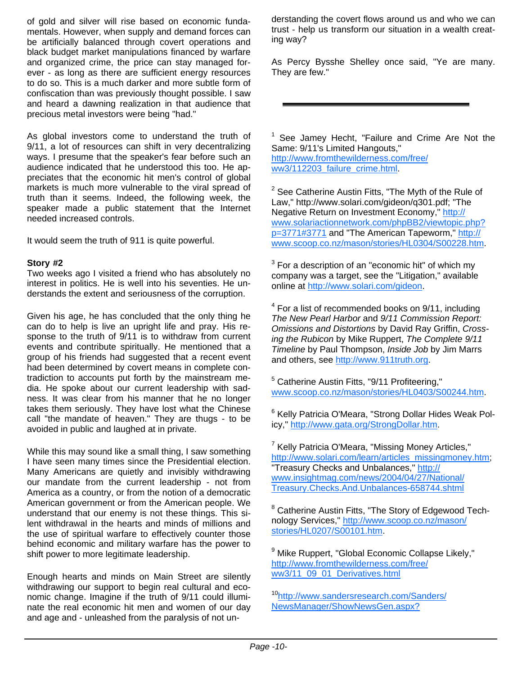of gold and silver will rise based on economic fundamentals. However, when supply and demand forces can be artificially balanced through covert operations and black budget market manipulations financed by warfare and organized crime, the price can stay managed forever - as long as there are sufficient energy resources to do so. This is a much darker and more subtle form of confiscation than was previously thought possible. I saw and heard a dawning realization in that audience that precious metal investors were being "had."

As global investors come to understand the truth of 9/11, a lot of resources can shift in very decentralizing ways. I presume that the speaker's fear before such an audience indicated that he understood this too. He appreciates that the economic hit men's control of global markets is much more vulnerable to the viral spread of truth than it seems. Indeed, the following week, the speaker made a public statement that the Internet needed increased controls.

It would seem the truth of 911 is quite powerful.

### **Story #2**

Two weeks ago I visited a friend who has absolutely no interest in politics. He is well into his seventies. He understands the extent and seriousness of the corruption.

Given his age, he has concluded that the only thing he can do to help is live an upright life and pray. His response to the truth of 9/11 is to withdraw from current events and contribute spiritually. He mentioned that a group of his friends had suggested that a recent event had been determined by covert means in complete contradiction to accounts put forth by the mainstream media. He spoke about our current leadership with sadness. It was clear from his manner that he no longer takes them seriously. They have lost what the Chinese call "the mandate of heaven." They are thugs - to be avoided in public and laughed at in private.

While this may sound like a small thing, I saw something I have seen many times since the Presidential election. Many Americans are quietly and invisibly withdrawing our mandate from the current leadership - not from America as a country, or from the notion of a democratic American government or from the American people. We understand that our enemy is not these things. This silent withdrawal in the hearts and minds of millions and the use of spiritual warfare to effectively counter those behind economic and military warfare has the power to shift power to more legitimate leadership.

Enough hearts and minds on Main Street are silently withdrawing our support to begin real cultural and economic change. Imagine if the truth of 9/11 could illuminate the real economic hit men and women of our day and age and - unleashed from the paralysis of not understanding the covert flows around us and who we can trust - help us transform our situation in a wealth creating way?

As Percy Bysshe Shelley once said, "Ye are many. They are few."

<sup>1</sup> See Jamey Hecht, "Failure and Crime Are Not the Same: 9/11's Limited Hangouts,"

http://www.fromthewilderness.com/free/ ww3/112203\_failure\_crime.html.

 $2$  See Catherine Austin Fitts, "The Myth of the Rule of Law," http://www.solari.com/gideon/q301.pdf; "The Negative Return on Investment Economy," http:// www.solariactionnetwork.com/phpBB2/viewtopic.php? p=3771#3771 and "The American Tapeworm," http:// www.scoop.co.nz/mason/stories/HL0304/S00228.htm.

 $3$  For a description of an "economic hit" of which my company was a target, see the "Litigation," available online at http://www.solari.com/gideon.

<sup>4</sup> For a list of recommended books on 9/11, including *The New Pearl Harbor* and *9/11 Commission Report: Omissions and Distortions* by David Ray Griffin, *Crossing the Rubicon* by Mike Ruppert, *The Complete 9/11 Timeline* by Paul Thompson, *Inside Job* by Jim Marrs and others, see http://www.911truth.org.

<sup>5</sup> Catherine Austin Fitts, "9/11 Profiteering," www.scoop.co.nz/mason/stories/HL0403/S00244.htm.

<sup>6</sup> Kelly Patricia O'Meara, "Strong Dollar Hides Weak Policy," http://www.gata.org/StrongDollar.htm.

<sup>7</sup> Kelly Patricia O'Meara, "Missing Money Articles," http://www.solari.com/learn/articles\_missingmoney.htm; "Treasury Checks and Unbalances," http:// www.insightmag.com/news/2004/04/27/National/ Treasury.Checks.And.Unbalances-658744.shtml

<sup>8</sup> Catherine Austin Fitts, "The Story of Edgewood Technology Services," http://www.scoop.co.nz/mason/ stories/HL0207/S00101.htm.

<sup>9</sup> Mike Ruppert, "Global Economic Collapse Likely," http://www.fromthewilderness.com/free/ ww3/11\_09\_01\_Derivatives.html

10http://www.sandersresearch.com/Sanders/ NewsManager/ShowNewsGen.aspx?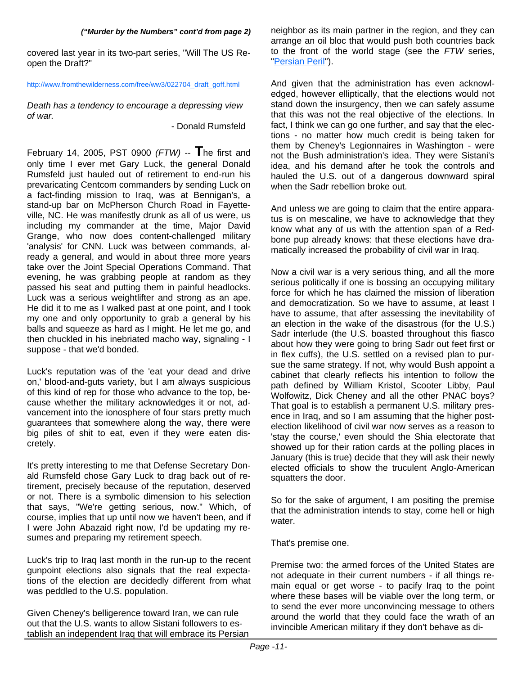#### *("Murder by the Numbers" cont'd from page 2)*

covered last year in its two-part series, "Will The US Reopen the Draft?"

#### http://www.fromthewilderness.com/free/ww3/022704\_draft\_goff.html

*Death has a tendency to encourage a depressing view of war.* 

- Donald Rumsfeld

February 14, 2005, PST 0900 *(FTW)* -- **T**he first and only time I ever met Gary Luck, the general Donald Rumsfeld just hauled out of retirement to end-run his prevaricating Centcom commanders by sending Luck on a fact-finding mission to Iraq, was at Bennigan's, a stand-up bar on McPherson Church Road in Fayetteville, NC. He was manifestly drunk as all of us were, us including my commander at the time, Major David Grange, who now does content-challenged military 'analysis' for CNN. Luck was between commands, already a general, and would in about three more years take over the Joint Special Operations Command. That evening, he was grabbing people at random as they passed his seat and putting them in painful headlocks. Luck was a serious weightlifter and strong as an ape. He did it to me as I walked past at one point, and I took my one and only opportunity to grab a general by his balls and squeeze as hard as I might. He let me go, and then chuckled in his inebriated macho way, signaling - I suppose - that we'd bonded.

Luck's reputation was of the 'eat your dead and drive on,' blood-and-guts variety, but I am always suspicious of this kind of rep for those who advance to the top, because whether the military acknowledges it or not, advancement into the ionosphere of four stars pretty much guarantees that somewhere along the way, there were big piles of shit to eat, even if they were eaten discretely.

It's pretty interesting to me that Defense Secretary Donald Rumsfeld chose Gary Luck to drag back out of retirement, precisely because of the reputation, deserved or not. There is a symbolic dimension to his selection that says, "We're getting serious, now." Which, of course, implies that up until now we haven't been, and if I were John Abazaid right now, I'd be updating my resumes and preparing my retirement speech.

Luck's trip to Iraq last month in the run-up to the recent gunpoint elections also signals that the real expectations of the election are decidedly different from what was peddled to the U.S. population.

Given Cheney's belligerence toward Iran, we can rule out that the U.S. wants to allow Sistani followers to establish an independent Iraq that will embrace its Persian neighbor as its main partner in the region, and they can arrange an oil bloc that would push both countries back to the front of the world stage (see the *FTW* series, "Persian Peril").

And given that the administration has even acknowledged, however elliptically, that the elections would not stand down the insurgency, then we can safely assume that this was not the real objective of the elections. In fact, I think we can go one further, and say that the elections - no matter how much credit is being taken for them by Cheney's Legionnaires in Washington - were not the Bush administration's idea. They were Sistani's idea, and his demand after he took the controls and hauled the U.S. out of a dangerous downward spiral when the Sadr rebellion broke out.

And unless we are going to claim that the entire apparatus is on mescaline, we have to acknowledge that they know what any of us with the attention span of a Redbone pup already knows: that these elections have dramatically increased the probability of civil war in Iraq.

Now a civil war is a very serious thing, and all the more serious politically if one is bossing an occupying military force for which he has claimed the mission of liberation and democratization. So we have to assume, at least I have to assume, that after assessing the inevitability of an election in the wake of the disastrous (for the U.S.) Sadr interlude (the U.S. boasted throughout this fiasco about how they were going to bring Sadr out feet first or in flex cuffs), the U.S. settled on a revised plan to pursue the same strategy. If not, why would Bush appoint a cabinet that clearly reflects his intention to follow the path defined by William Kristol, Scooter Libby, Paul Wolfowitz, Dick Cheney and all the other PNAC boys? That goal is to establish a permanent U.S. military presence in Iraq, and so I am assuming that the higher postelection likelihood of civil war now serves as a reason to 'stay the course,' even should the Shia electorate that showed up for their ration cards at the polling places in January (this is true) decide that they will ask their newly elected officials to show the truculent Anglo-American squatters the door.

So for the sake of argument, I am positing the premise that the administration intends to stay, come hell or high water.

That's premise one.

Premise two: the armed forces of the United States are not adequate in their current numbers - if all things remain equal or get worse - to pacify Iraq to the point where these bases will be viable over the long term, or to send the ever more unconvincing message to others around the world that they could face the wrath of an invincible American military if they don't behave as di-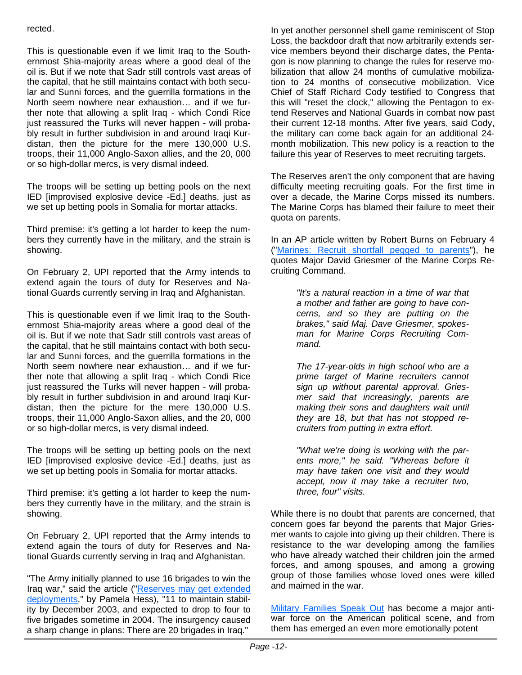## rected.

This is questionable even if we limit Iraq to the Southernmost Shia-majority areas where a good deal of the oil is. But if we note that Sadr still controls vast areas of the capital, that he still maintains contact with both secular and Sunni forces, and the guerrilla formations in the North seem nowhere near exhaustion… and if we further note that allowing a split Iraq - which Condi Rice just reassured the Turks will never happen - will probably result in further subdivision in and around Iraqi Kurdistan, then the picture for the mere 130,000 U.S. troops, their 11,000 Anglo-Saxon allies, and the 20, 000 or so high-dollar mercs, is very dismal indeed.

The troops will be setting up betting pools on the next IED [improvised explosive device -Ed.] deaths, just as we set up betting pools in Somalia for mortar attacks.

Third premise: it's getting a lot harder to keep the numbers they currently have in the military, and the strain is showing.

On February 2, UPI reported that the Army intends to extend again the tours of duty for Reserves and National Guards currently serving in Iraq and Afghanistan.

This is questionable even if we limit Iraq to the Southernmost Shia-majority areas where a good deal of the oil is. But if we note that Sadr still controls vast areas of the capital, that he still maintains contact with both secular and Sunni forces, and the guerrilla formations in the North seem nowhere near exhaustion… and if we further note that allowing a split Iraq - which Condi Rice just reassured the Turks will never happen - will probably result in further subdivision in and around Iraqi Kurdistan, then the picture for the mere 130,000 U.S. troops, their 11,000 Anglo-Saxon allies, and the 20, 000 or so high-dollar mercs, is very dismal indeed.

The troops will be setting up betting pools on the next IED [improvised explosive device -Ed.] deaths, just as we set up betting pools in Somalia for mortar attacks.

Third premise: it's getting a lot harder to keep the numbers they currently have in the military, and the strain is showing.

On February 2, UPI reported that the Army intends to extend again the tours of duty for Reserves and National Guards currently serving in Iraq and Afghanistan.

"The Army initially planned to use 16 brigades to win the Iraq war," said the article ("Reserves may get extended deployments," by Pamela Hess), "11 to maintain stability by December 2003, and expected to drop to four to five brigades sometime in 2004. The insurgency caused a sharp change in plans: There are 20 brigades in Iraq."

In yet another personnel shell game reminiscent of Stop Loss, the backdoor draft that now arbitrarily extends service members beyond their discharge dates, the Pentagon is now planning to change the rules for reserve mobilization that allow 24 months of cumulative mobilization to 24 months of consecutive mobilization. Vice Chief of Staff Richard Cody testified to Congress that this will "reset the clock," allowing the Pentagon to extend Reserves and National Guards in combat now past their current 12-18 months. After five years, said Cody, the military can come back again for an additional 24 month mobilization. This new policy is a reaction to the failure this year of Reserves to meet recruiting targets.

The Reserves aren't the only component that are having difficulty meeting recruiting goals. For the first time in over a decade, the Marine Corps missed its numbers. The Marine Corps has blamed their failure to meet their quota on parents.

In an AP article written by Robert Burns on February 4 ("Marines: Recruit shortfall pegged to parents"), he quotes Major David Griesmer of the Marine Corps Recruiting Command.

> *"It's a natural reaction in a time of war that a mother and father are going to have concerns, and so they are putting on the brakes," said Maj. Dave Griesmer, spokesman for Marine Corps Recruiting Command.*

> *The 17-year-olds in high school who are a prime target of Marine recruiters cannot sign up without parental approval. Griesmer said that increasingly, parents are making their sons and daughters wait until they are 18, but that has not stopped recruiters from putting in extra effort.*

> *"What we're doing is working with the parents more," he said. "Whereas before it may have taken one visit and they would accept, now it may take a recruiter two, three, four" visits.*

While there is no doubt that parents are concerned, that concern goes far beyond the parents that Major Griesmer wants to cajole into giving up their children. There is resistance to the war developing among the families who have already watched their children join the armed forces, and among spouses, and among a growing group of those families whose loved ones were killed and maimed in the war.

Military Families Speak Out has become a major antiwar force on the American political scene, and from them has emerged an even more emotionally potent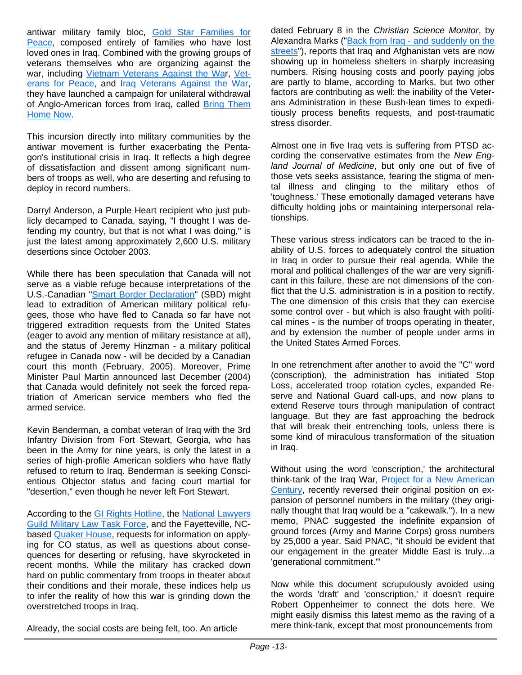antiwar military family bloc, Gold Star Families for Peace, composed entirely of families who have lost loved ones in Iraq. Combined with the growing groups of veterans themselves who are organizing against the war, including Vietnam Veterans Against the War, Veterans for Peace, and Iraq Veterans Against the War, they have launched a campaign for unilateral withdrawal of Anglo-American forces from Iraq, called Bring Them Home Now.

This incursion directly into military communities by the antiwar movement is further exacerbating the Pentagon's institutional crisis in Iraq. It reflects a high degree of dissatisfaction and dissent among significant numbers of troops as well, who are deserting and refusing to deploy in record numbers.

Darryl Anderson, a Purple Heart recipient who just publicly decamped to Canada, saying, "I thought I was defending my country, but that is not what I was doing," is just the latest among approximately 2,600 U.S. military desertions since October 2003.

While there has been speculation that Canada will not serve as a viable refuge because interpretations of the U.S.-Canadian "Smart Border Declaration" (SBD) might lead to extradition of American military political refugees, those who have fled to Canada so far have not triggered extradition requests from the United States (eager to avoid any mention of military resistance at all), and the status of Jeremy Hinzman - a military political refugee in Canada now - will be decided by a Canadian court this month (February, 2005). Moreover, Prime Minister Paul Martin announced last December (2004) that Canada would definitely not seek the forced repatriation of American service members who fled the armed service.

Kevin Benderman, a combat veteran of Iraq with the 3rd Infantry Division from Fort Stewart, Georgia, who has been in the Army for nine years, is only the latest in a series of high-profile American soldiers who have flatly refused to return to Iraq. Benderman is seeking Conscientious Objector status and facing court martial for "desertion," even though he never left Fort Stewart.

According to the GI Rights Hotline, the National Lawyers Guild Military Law Task Force, and the Fayetteville, NCbased Quaker House, requests for information on applying for CO status, as well as questions about consequences for deserting or refusing, have skyrocketed in recent months. While the military has cracked down hard on public commentary from troops in theater about their conditions and their morale, these indices help us to infer the reality of how this war is grinding down the overstretched troops in Iraq.

dated February 8 in the *Christian Science Monitor*, by Alexandra Marks ("Back from Iraq - and suddenly on the streets"), reports that Iraq and Afghanistan vets are now showing up in homeless shelters in sharply increasing numbers. Rising housing costs and poorly paying jobs are partly to blame, according to Marks, but two other factors are contributing as well: the inability of the Veterans Administration in these Bush-lean times to expeditiously process benefits requests, and post-traumatic stress disorder.

Almost one in five Iraq vets is suffering from PTSD according the conservative estimates from the *New England Journal of Medicine*, but only one out of five of those vets seeks assistance, fearing the stigma of mental illness and clinging to the military ethos of 'toughness.' These emotionally damaged veterans have difficulty holding jobs or maintaining interpersonal relationships.

These various stress indicators can be traced to the inability of U.S. forces to adequately control the situation in Iraq in order to pursue their real agenda. While the moral and political challenges of the war are very significant in this failure, these are not dimensions of the conflict that the U.S. administration is in a position to rectify. The one dimension of this crisis that they can exercise some control over - but which is also fraught with political mines - is the number of troops operating in theater, and by extension the number of people under arms in the United States Armed Forces.

In one retrenchment after another to avoid the "C" word (conscription), the administration has initiated Stop Loss, accelerated troop rotation cycles, expanded Reserve and National Guard call-ups, and now plans to extend Reserve tours through manipulation of contract language. But they are fast approaching the bedrock that will break their entrenching tools, unless there is some kind of miraculous transformation of the situation in Iraq.

Without using the word 'conscription,' the architectural think-tank of the Iraq War, Project for a New American Century, recently reversed their original position on expansion of personnel numbers in the military (they originally thought that Iraq would be a "cakewalk."). In a new memo, PNAC suggested the indefinite expansion of ground forces (Army and Marine Corps) gross numbers by 25,000 a year. Said PNAC, "it should be evident that our engagement in the greater Middle East is truly...a 'generational commitment.'"

Now while this document scrupulously avoided using the words 'draft' and 'conscription,' it doesn't require Robert Oppenheimer to connect the dots here. We might easily dismiss this latest memo as the raving of a mere think-tank, except that most pronouncements from

Already, the social costs are being felt, too. An article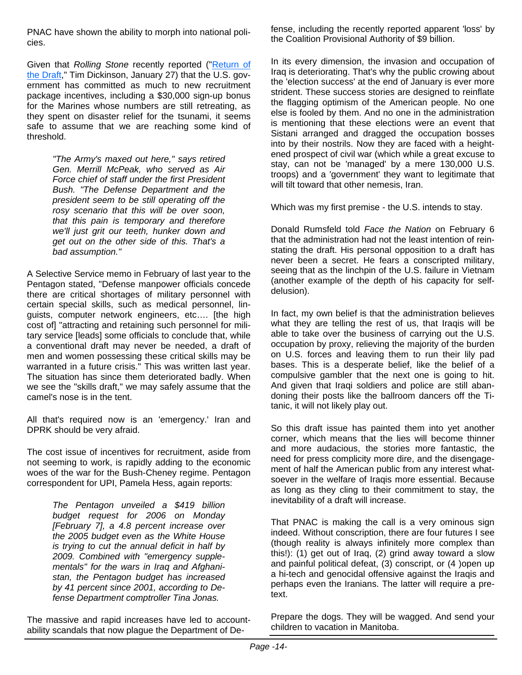PNAC have shown the ability to morph into national policies.

Given that *Rolling Stone* recently reported ("Return of the Draft," Tim Dickinson, January 27) that the U.S. government has committed as much to new recruitment package incentives, including a \$30,000 sign-up bonus for the Marines whose numbers are still retreating, as they spent on disaster relief for the tsunami, it seems safe to assume that we are reaching some kind of threshold.

> *"The Army's maxed out here," says retired Gen. Merrill McPeak, who served as Air Force chief of staff under the first President Bush. "The Defense Department and the president seem to be still operating off the rosy scenario that this will be over soon, that this pain is temporary and therefore we'll just grit our teeth, hunker down and get out on the other side of this. That's a bad assumption."*

A Selective Service memo in February of last year to the Pentagon stated, "Defense manpower officials concede there are critical shortages of military personnel with certain special skills, such as medical personnel, linguists, computer network engineers, etc…. [the high cost of] "attracting and retaining such personnel for military service [leads] some officials to conclude that, while a conventional draft may never be needed, a draft of men and women possessing these critical skills may be warranted in a future crisis." This was written last year. The situation has since them deteriorated badly. When we see the "skills draft," we may safely assume that the camel's nose is in the tent.

All that's required now is an 'emergency.' Iran and DPRK should be very afraid.

The cost issue of incentives for recruitment, aside from not seeming to work, is rapidly adding to the economic woes of the war for the Bush-Cheney regime. Pentagon correspondent for UPI, Pamela Hess, again reports:

> *The Pentagon unveiled a \$419 billion budget request for 2006 on Monday [February 7], a 4.8 percent increase over the 2005 budget even as the White House is trying to cut the annual deficit in half by 2009. Combined with "emergency supplementals" for the wars in Iraq and Afghanistan, the Pentagon budget has increased by 41 percent since 2001, according to Defense Department comptroller Tina Jonas.*

The massive and rapid increases have led to accountability scandals that now plague the Department of Defense, including the recently reported apparent 'loss' by the Coalition Provisional Authority of \$9 billion.

In its every dimension, the invasion and occupation of Iraq is deteriorating. That's why the public crowing about the 'election success' at the end of January is ever more strident. These success stories are designed to reinflate the flagging optimism of the American people. No one else is fooled by them. And no one in the administration is mentioning that these elections were an event that Sistani arranged and dragged the occupation bosses into by their nostrils. Now they are faced with a heightened prospect of civil war (which while a great excuse to stay, can not be 'managed' by a mere 130,000 U.S. troops) and a 'government' they want to legitimate that will tilt toward that other nemesis, Iran.

Which was my first premise - the U.S. intends to stay.

Donald Rumsfeld told *Face the Nation* on February 6 that the administration had not the least intention of reinstating the draft. His personal opposition to a draft has never been a secret. He fears a conscripted military, seeing that as the linchpin of the U.S. failure in Vietnam (another example of the depth of his capacity for selfdelusion).

In fact, my own belief is that the administration believes what they are telling the rest of us, that Iraqis will be able to take over the business of carrying out the U.S. occupation by proxy, relieving the majority of the burden on U.S. forces and leaving them to run their lily pad bases. This is a desperate belief, like the belief of a compulsive gambler that the next one is going to hit. And given that Iraqi soldiers and police are still abandoning their posts like the ballroom dancers off the Titanic, it will not likely play out.

So this draft issue has painted them into yet another corner, which means that the lies will become thinner and more audacious, the stories more fantastic, the need for press complicity more dire, and the disengagement of half the American public from any interest whatsoever in the welfare of Iraqis more essential. Because as long as they cling to their commitment to stay, the inevitability of a draft will increase.

That PNAC is making the call is a very ominous sign indeed. Without conscription, there are four futures I see (though reality is always infinitely more complex than this!): (1) get out of Iraq, (2) grind away toward a slow and painful political defeat, (3) conscript, or (4 )open up a hi-tech and genocidal offensive against the Iraqis and perhaps even the Iranians. The latter will require a pretext.

Prepare the dogs. They will be wagged. And send your children to vacation in Manitoba.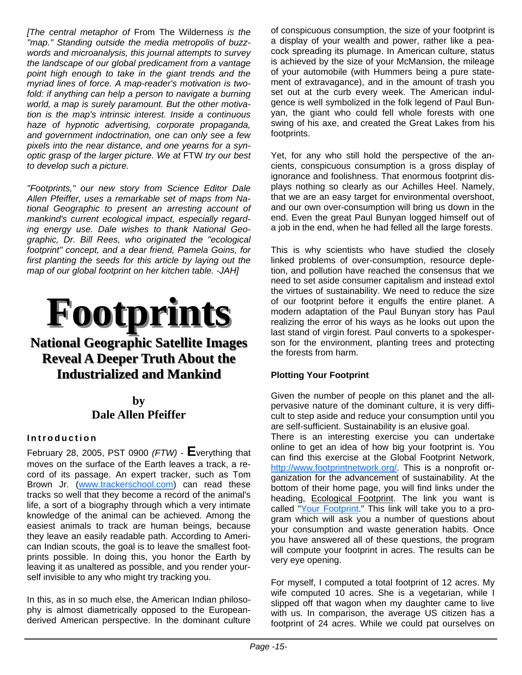*[The central metaphor of* From The Wilderness *is the "map." Standing outside the media metropolis of buzzwords and microanalysis, this journal attempts to survey the landscape of our global predicament from a vantage point high enough to take in the giant trends and the myriad lines of force. A map-reader's motivation is two*fold: if anything can help a person to navigate a burning *world, a map is surely paramount. But the other motivation is the map's intrinsic interest. Inside a continuous haze of hypnotic advertising, corporate propaganda, and government indoctrination, one can only see a few pixels into the near distance, and one yearns for a synoptic grasp of the larger picture. We at* FTW *try our best to develop such a picture.*

*"Footprints," our new story from Science Editor Dale Allen Pfeiffer, uses a remarkable set of maps from National Geographic to present an arresting account of mankind's current ecological impact, especially regarding energy use. Dale wishes to thank National Geographic, Dr. Bill Rees, who originated the "ecological footprint" concept, and a dear friend, Pamela Goins, for first planting the seeds for this article by laying out the map of our global footprint on her kitchen table. -JAH]*



## **National Geographic Satellite Images Reveal A Deeper Truth About the Industrialized and Mankind Industrialized and Mankind**

## **by Dale Allen Pfeiffer**

## **Introduction**

February 28, 2005, PST 0900 *(FTW)* - **E**verything that moves on the surface of the Earth leaves a track, a record of its passage. An expert tracker, such as Tom Brown Jr. (www.trackerschool.com) can read these tracks so well that they become a record of the animal's life, a sort of a biography through which a very intimate knowledge of the animal can be achieved. Among the easiest animals to track are human beings, because they leave an easily readable path. According to American Indian scouts, the goal is to leave the smallest footprints possible. In doing this, you honor the Earth by leaving it as unaltered as possible, and you render yourself invisible to any who might try tracking you.

In this, as in so much else, the American Indian philosophy is almost diametrically opposed to the Europeanderived American perspective. In the dominant culture of conspicuous consumption, the size of your footprint is a display of your wealth and power, rather like a peacock spreading its plumage. In American culture, status is achieved by the size of your McMansion, the mileage of your automobile (with Hummers being a pure statement of extravagance), and in the amount of trash you set out at the curb every week. The American indulgence is well symbolized in the folk legend of Paul Bunyan, the giant who could fell whole forests with one swing of his axe, and created the Great Lakes from his footprints.

Yet, for any who still hold the perspective of the ancients, conspicuous consumption is a gross display of ignorance and foolishness. That enormous footprint displays nothing so clearly as our Achilles Heel. Namely, that we are an easy target for environmental overshoot, and our own over-consumption will bring us down in the end. Even the great Paul Bunyan logged himself out of a job in the end, when he had felled all the large forests.

This is why scientists who have studied the closely linked problems of over-consumption, resource depletion, and pollution have reached the consensus that we need to set aside consumer capitalism and instead extol the virtues of sustainability. We need to reduce the size of our footprint before it engulfs the entire planet. A modern adaptation of the Paul Bunyan story has Paul realizing the error of his ways as he looks out upon the last stand of virgin forest. Paul converts to a spokesperson for the environment, planting trees and protecting the forests from harm.

## **Plotting Your Footprint**

Given the number of people on this planet and the allpervasive nature of the dominant culture, it is very difficult to step aside and reduce your consumption until you are self-sufficient. Sustainability is an elusive goal.

There is an interesting exercise you can undertake online to get an idea of how big your footprint is. You can find this exercise at the Global Footprint Network, http://www.footprintnetwork.org/. This is a nonprofit organization for the advancement of sustainability. At the bottom of their home page, you will find links under the heading, Ecological Footprint. The link you want is called "Your Footprint." This link will take you to a program which will ask you a number of questions about your consumption and waste generation habits. Once you have answered all of these questions, the program will compute your footprint in acres. The results can be very eye opening.

For myself, I computed a total footprint of 12 acres. My wife computed 10 acres. She is a vegetarian, while I slipped off that wagon when my daughter came to live with us. In comparison, the average US citizen has a footprint of 24 acres. While we could pat ourselves on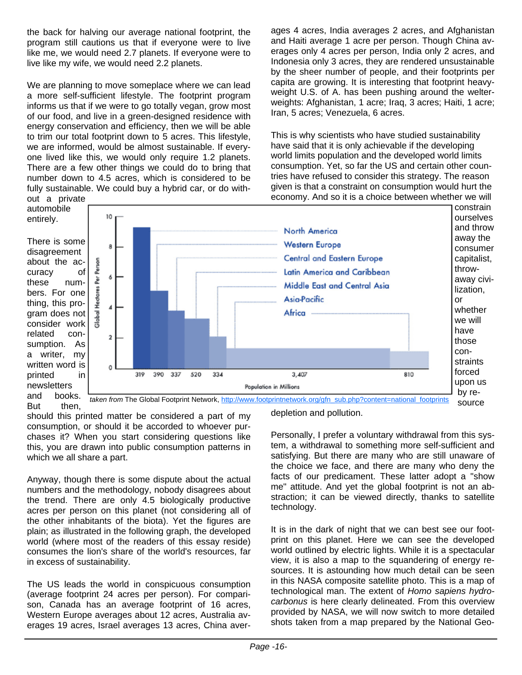the back for halving our average national footprint, the program still cautions us that if everyone were to live like me, we would need 2.7 planets. If everyone were to live like my wife, we would need 2.2 planets.

We are planning to move someplace where we can lead a more self-sufficient lifestyle. The footprint program informs us that if we were to go totally vegan, grow most of our food, and live in a green-designed residence with energy conservation and efficiency, then we will be able to trim our total footprint down to 5 acres. This lifestyle, we are informed, would be almost sustainable. If everyone lived like this, we would only require 1.2 planets. There are a few other things we could do to bring that number down to 4.5 acres, which is considered to be fully sustainable. We could buy a hybrid car, or do without a private

ages 4 acres, India averages 2 acres, and Afghanistan and Haiti average 1 acre per person. Though China averages only 4 acres per person, India only 2 acres, and Indonesia only 3 acres, they are rendered unsustainable by the sheer number of people, and their footprints per capita are growing. It is interesting that footprint heavyweight U.S. of A. has been pushing around the welterweights: Afghanistan, 1 acre; Iraq, 3 acres; Haiti, 1 acre; Iran, 5 acres; Venezuela, 6 acres.

This is why scientists who have studied sustainability have said that it is only achievable if the developing world limits population and the developed world limits consumption. Yet, so far the US and certain other countries have refused to consider this strategy. The reason given is that a constraint on consumption would hurt the economy. And so it is a choice between whether we will



should this printed matter be considered a part of my consumption, or should it be accorded to whoever purchases it? When you start considering questions like this, you are drawn into public consumption patterns in which we all share a part.

Anyway, though there is some dispute about the actual numbers and the methodology, nobody disagrees about the trend. There are only 4.5 biologically productive acres per person on this planet (not considering all of the other inhabitants of the biota). Yet the figures are plain; as illustrated in the following graph, the developed world (where most of the readers of this essay reside) consumes the lion's share of the world's resources, far in excess of sustainability.

The US leads the world in conspicuous consumption (average footprint 24 acres per person). For comparison, Canada has an average footprint of 16 acres, Western Europe averages about 12 acres, Australia averages 19 acres, Israel averages 13 acres, China averdepletion and pollution.

Personally, I prefer a voluntary withdrawal from this system, a withdrawal to something more self-sufficient and satisfying. But there are many who are still unaware of the choice we face, and there are many who deny the facts of our predicament. These latter adopt a "show me" attitude. And yet the global footprint is not an abstraction; it can be viewed directly, thanks to satellite technology.

It is in the dark of night that we can best see our footprint on this planet. Here we can see the developed world outlined by electric lights. While it is a spectacular view, it is also a map to the squandering of energy resources. It is astounding how much detail can be seen in this NASA composite satellite photo. This is a map of technological man. The extent of *Homo sapiens hydrocarbonus* is here clearly delineated. From this overview provided by NASA, we will now switch to more detailed shots taken from a map prepared by the National Geo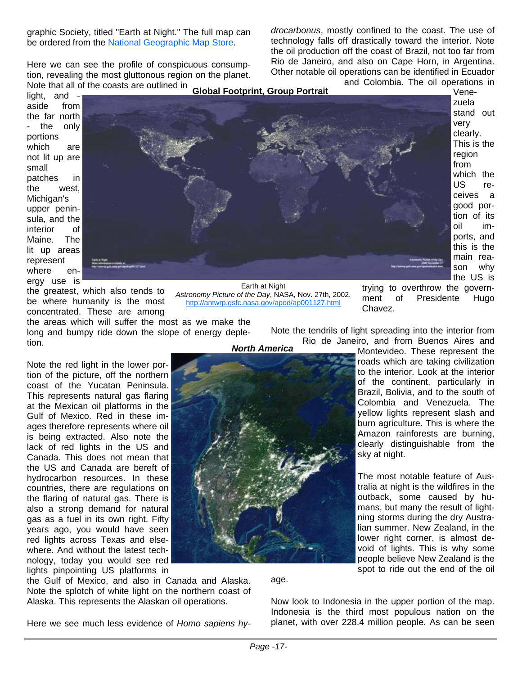graphic Society, titled "Earth at Night." The full map can be ordered from the National Geographic Map Store.

Here we can see the profile of conspicuous consumption, revealing the most gluttonous region on the planet. Note that all of the coasts are outlined in

*drocarbonus*, mostly confined to the coast. The use of technology falls off drastically toward the interior. Note the oil production off the coast of Brazil, not too far from Rio de Janeiro, and also on Cape Horn, in Argentina. Other notable oil operations can be identified in Ecuador and Colombia. The oil operations in

light, and aside from the far north the only portions which are not lit up are small patches in the west, Michigan's upper peninsula, and the interior of Maine. The lit up areas represent where energy use is



Venezuela stand out very clearly. This is the region from which the US receives a good portion of its oil imports, and this is the main reason why the US is

the greatest, which also tends to be where humanity is the most concentrated. These are among

the areas which will suffer the most as we make the long and bumpy ride down the slope of energy depletion. *North America*

Note the red light in the lower portion of the picture, off the northern coast of the Yucatan Peninsula. This represents natural gas flaring at the Mexican oil platforms in the Gulf of Mexico. Red in these images therefore represents where oil is being extracted. Also note the lack of red lights in the US and Canada. This does not mean that the US and Canada are bereft of hydrocarbon resources. In these countries, there are regulations on the flaring of natural gas. There is also a strong demand for natural gas as a fuel in its own right. Fifty years ago, you would have seen red lights across Texas and elsewhere. And without the latest technology, today you would see red lights pinpointing US platforms in

the Gulf of Mexico, and also in Canada and Alaska. Note the splotch of white light on the northern coast of Alaska. This represents the Alaskan oil operations.

Earth at Night *Astronomy Picture of the Day*, NASA, Nov. 27th, 2002. http://antwrp.gsfc.nasa.gov/apod/ap001127.html

Note the tendrils of light spreading into the interior from

Rio de Janeiro, and from Buenos Aires and

Chavez.

Montevideo. These represent the roads which are taking civilization to the interior. Look at the interior of the continent, particularly in Brazil, Bolivia, and to the south of Colombia and Venezuela. The yellow lights represent slash and burn agriculture. This is where the Amazon rainforests are burning, clearly distinguishable from the sky at night.

trying to overthrow the government of Presidente Hugo

The most notable feature of Australia at night is the wildfires in the outback, some caused by humans, but many the result of lightning storms during the dry Australian summer. New Zealand, in the lower right corner, is almost devoid of lights. This is why some people believe New Zealand is the spot to ride out the end of the oil

age.

Now look to Indonesia in the upper portion of the map. Indonesia is the third most populous nation on the planet, with over 228.4 million people. As can be seen

Here we see much less evidence of *Homo sapiens hy-*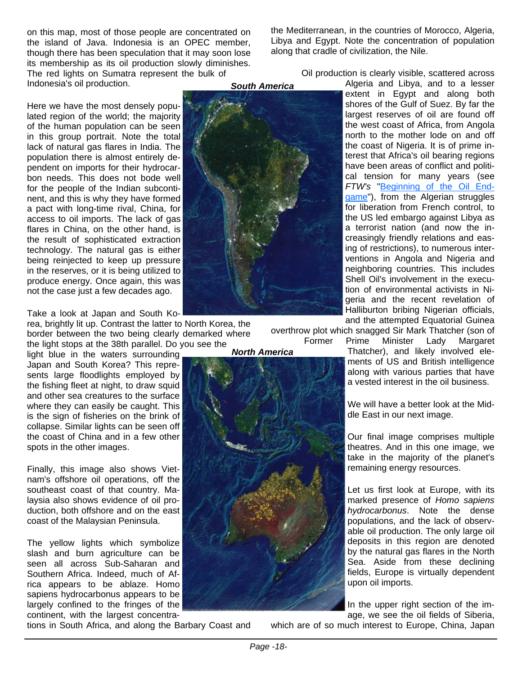on this map, most of those people are concentrated on the island of Java. Indonesia is an OPEC member, though there has been speculation that it may soon lose its membership as its oil production slowly diminishes. The red lights on Sumatra represent the bulk of Indonesia's oil production. *South America*

Here we have the most densely populated region of the world; the majority of the human population can be seen in this group portrait. Note the total lack of natural gas flares in India. The population there is almost entirely dependent on imports for their hydrocarbon needs. This does not bode well for the people of the Indian subcontinent, and this is why they have formed a pact with long-time rival, China, for access to oil imports. The lack of gas flares in China, on the other hand, is the result of sophisticated extraction technology. The natural gas is either being reinjected to keep up pressure in the reserves, or it is being utilized to produce energy. Once again, this was not the case just a few decades ago.

#### Take a look at Japan and South Ko-

rea, brightly lit up. Contrast the latter to North Korea, the border between the two being clearly demarked where the light stops at the 38th parallel. Do you see the

light blue in the waters surrounding Japan and South Korea? This represents large floodlights employed by the fishing fleet at night, to draw squid and other sea creatures to the surface where they can easily be caught. This is the sign of fisheries on the brink of collapse. Similar lights can be seen off the coast of China and in a few other spots in the other images.

Finally, this image also shows Vietnam's offshore oil operations, off the southeast coast of that country. Malaysia also shows evidence of oil production, both offshore and on the east coast of the Malaysian Peninsula.

The yellow lights which symbolize slash and burn agriculture can be seen all across Sub-Saharan and Southern Africa. Indeed, much of Africa appears to be ablaze. Homo sapiens hydrocarbonus appears to be largely confined to the fringes of the continent, with the largest concentra-

tions in South Africa, and along the Barbary Coast and

the Mediterranean, in the countries of Morocco, Algeria, Libya and Egypt. Note the concentration of population along that cradle of civilization, the Nile.

Oil production is clearly visible, scattered across

Algeria and Libya, and to a lesser extent in Egypt and along both shores of the Gulf of Suez. By far the largest reserves of oil are found off the west coast of Africa, from Angola north to the mother lode on and off the coast of Nigeria. It is of prime interest that Africa's oil bearing regions have been areas of conflict and political tension for many years (see *FTW's* "Beginning of the Oil Endgame"), from the Algerian struggles for liberation from French control, to the US led embargo against Libya as a terrorist nation (and now the increasingly friendly relations and easing of restrictions), to numerous interventions in Angola and Nigeria and neighboring countries. This includes Shell Oil's involvement in the execution of environmental activists in Nigeria and the recent revelation of Halliburton bribing Nigerian officials, and the attempted Equatorial Guinea

overthrow plot which snagged Sir Mark Thatcher (son of

Former Prime Minister Lady Margaret Thatcher), and likely involved ele-

ments of US and British intelligence along with various parties that have a vested interest in the oil business.

We will have a better look at the Middle East in our next image.

Our final image comprises multiple theatres. And in this one image, we take in the majority of the planet's remaining energy resources.

Let us first look at Europe, with its marked presence of *Homo sapiens hydrocarbonus*. Note the dense populations, and the lack of observable oil production. The only large oil deposits in this region are denoted by the natural gas flares in the North Sea. Aside from these declining fields, Europe is virtually dependent upon oil imports.

In the upper right section of the image, we see the oil fields of Siberia,

which are of so much interest to Europe, China, Japan

*North America*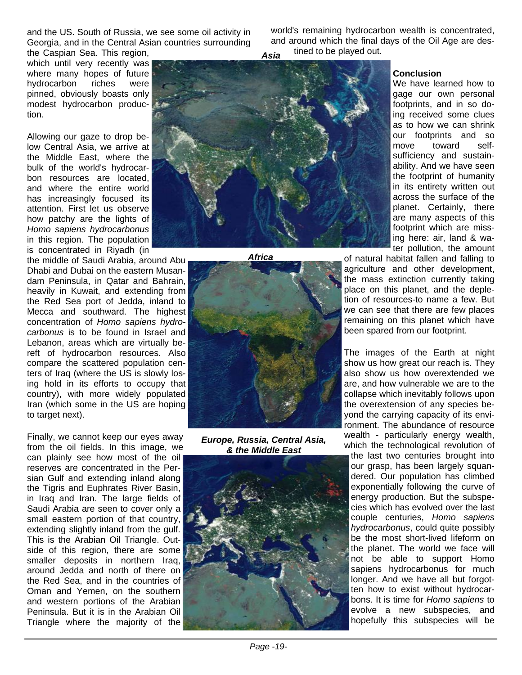and the US. South of Russia, we see some oil activity in Georgia, and in the Central Asian countries surrounding the Caspian Sea. This region,

world's remaining hydrocarbon wealth is concentrated, and around which the final days of the Oil Age are destined to be played out. *Asia*

which until very recently was where many hopes of future hydrocarbon riches were pinned, obviously boasts only modest hydrocarbon production.

Allowing our gaze to drop below Central Asia, we arrive at the Middle East, where the bulk of the world's hydrocarbon resources are located, and where the entire world has increasingly focused its attention. First let us observe how patchy are the lights of *Homo sapiens hydrocarbonus* in this region. The population is concentrated in Riyadh (in

the middle of Saudi Arabia, around Abu Dhabi and Dubai on the eastern Musandam Peninsula, in Qatar and Bahrain, heavily in Kuwait, and extending from the Red Sea port of Jedda, inland to Mecca and southward. The highest concentration of *Homo sapiens hydrocarbonus* is to be found in Israel and Lebanon, areas which are virtually bereft of hydrocarbon resources. Also compare the scattered population centers of Iraq (where the US is slowly losing hold in its efforts to occupy that country), with more widely populated Iran (which some in the US are hoping to target next).

Finally, we cannot keep our eyes away from the oil fields. In this image, we can plainly see how most of the oil reserves are concentrated in the Persian Gulf and extending inland along the Tigris and Euphrates River Basin, in Iraq and Iran. The large fields of Saudi Arabia are seen to cover only a small eastern portion of that country, extending slightly inland from the gulf. This is the Arabian Oil Triangle. Outside of this region, there are some smaller deposits in northern Iraq, around Jedda and north of there on the Red Sea, and in the countries of Oman and Yemen, on the southern and western portions of the Arabian Peninsula. But it is in the Arabian Oil Triangle where the majority of the



*Africa*



*Europe, Russia, Central Asia, & the Middle East*



#### **Conclusion**

We have learned how to gage our own personal footprints, and in so doing received some clues as to how we can shrink our footprints and so move toward selfsufficiency and sustainability. And we have seen the footprint of humanity in its entirety written out across the surface of the planet. Certainly, there are many aspects of this footprint which are missing here: air, land & water pollution, the amount

of natural habitat fallen and falling to agriculture and other development, the mass extinction currently taking place on this planet, and the depletion of resources-to name a few. But we can see that there are few places remaining on this planet which have been spared from our footprint.

The images of the Earth at night show us how great our reach is. They also show us how overextended we are, and how vulnerable we are to the collapse which inevitably follows upon the overextension of any species beyond the carrying capacity of its environment. The abundance of resource wealth - particularly energy wealth, which the technological revolution of the last two centuries brought into our grasp, has been largely squandered. Our population has climbed exponentially following the curve of energy production. But the subspecies which has evolved over the last couple centuries, *Homo sapiens hydrocarbonus*, could quite possibly be the most short-lived lifeform on the planet. The world we face will not be able to support Homo sapiens hydrocarbonus for much longer. And we have all but forgotten how to exist without hydrocarbons. It is time for *Homo sapiens* to evolve a new subspecies, and hopefully this subspecies will be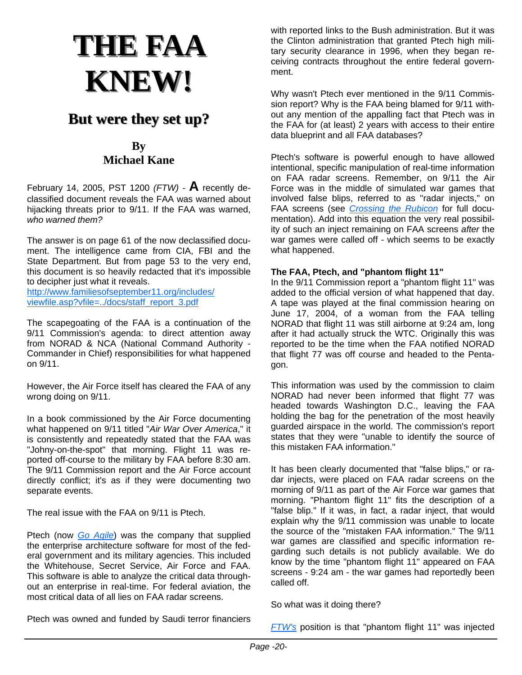## **THE FAA THE FAA KNEW!**

## **But were they set up? But were they set up?**

## **By Michael Kane**

February 14, 2005, PST 1200 *(FTW) -* **A** recently declassified document reveals the FAA was warned about hijacking threats prior to 9/11. If the FAA was warned, *who warned them?* 

The answer is on page 61 of the now declassified document. The intelligence came from CIA, FBI and the State Department. But from page 53 to the very end, this document is so heavily redacted that it's impossible to decipher just what it reveals.

http://www.familiesofseptember11.org/includes/ viewfile.asp?vfile=../docs/staff\_report\_3.pdf

The scapegoating of the FAA is a continuation of the 9/11 Commission's agenda: to direct attention away from NORAD & NCA (National Command Authority - Commander in Chief) responsibilities for what happened on 9/11.

However, the Air Force itself has cleared the FAA of any wrong doing on 9/11.

In a book commissioned by the Air Force documenting what happened on 9/11 titled "*Air War Over America*," it is consistently and repeatedly stated that the FAA was "Johny-on-the-spot" that morning. Flight 11 was reported off-course to the military by FAA before 8:30 am. The 9/11 Commission report and the Air Force account directly conflict; it's as if they were documenting two separate events.

The real issue with the FAA on 9/11 is Ptech.

Ptech (now *Go Agile*) was the company that supplied the enterprise architecture software for most of the federal government and its military agencies. This included the Whitehouse, Secret Service, Air Force and FAA. This software is able to analyze the critical data throughout an enterprise in real-time. For federal aviation, the most critical data of all lies on FAA radar screens.

with reported links to the Bush administration. But it was the Clinton administration that granted Ptech high military security clearance in 1996, when they began receiving contracts throughout the entire federal government.

Why wasn't Ptech ever mentioned in the 9/11 Commission report? Why is the FAA being blamed for 9/11 without any mention of the appalling fact that Ptech was in the FAA for (at least) 2 years with access to their entire data blueprint and all FAA databases?

Ptech's software is powerful enough to have allowed intentional, specific manipulation of real-time information on FAA radar screens. Remember, on 9/11 the Air Force was in the middle of simulated war games that involved false blips, referred to as "radar injects," on FAA screens (see *Crossing the Rubicon* for full documentation). Add into this equation the very real possibility of such an inject remaining on FAA screens *after* the war games were called off - which seems to be exactly what happened.

## **The FAA, Ptech, and "phantom flight 11"**

In the 9/11 Commission report a "phantom flight 11" was added to the official version of what happened that day. A tape was played at the final commission hearing on June 17, 2004, of a woman from the FAA telling NORAD that flight 11 was still airborne at 9:24 am, long after it had actually struck the WTC. Originally this was reported to be the time when the FAA notified NORAD that flight 77 was off course and headed to the Pentagon.

This information was used by the commission to claim NORAD had never been informed that flight 77 was headed towards Washington D.C., leaving the FAA holding the bag for the penetration of the most heavily guarded airspace in the world. The commission's report states that they were "unable to identify the source of this mistaken FAA information."

It has been clearly documented that "false blips," or radar injects, were placed on FAA radar screens on the morning of 9/11 as part of the Air Force war games that morning. "Phantom flight 11" fits the description of a "false blip." If it was, in fact, a radar inject, that would explain why the 9/11 commission was unable to locate the source of the "mistaken FAA information." The 9/11 war games are classified and specific information regarding such details is not publicly available. We do know by the time "phantom flight 11" appeared on FAA screens - 9:24 am - the war games had reportedly been called off.

So what was it doing there?

Ptech was owned and funded by Saudi terror financiers

*FTW's* position is that "phantom flight 11" was injected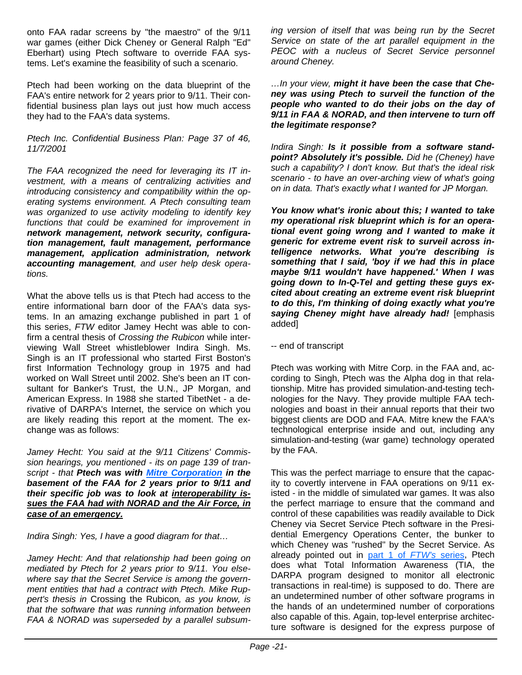onto FAA radar screens by "the maestro" of the 9/11 war games (either Dick Cheney or General Ralph "Ed" Eberhart) using Ptech software to override FAA systems. Let's examine the feasibility of such a scenario.

Ptech had been working on the data blueprint of the FAA's entire network for 2 years prior to 9/11. Their confidential business plan lays out just how much access they had to the FAA's data systems.

*Ptech Inc. Confidential Business Plan: Page 37 of 46, 11/7/2001*

*The FAA recognized the need for leveraging its IT investment, with a means of centralizing activities and introducing consistency and compatibility within the operating systems environment. A Ptech consulting team was organized to use activity modeling to identify key functions that could be examined for improvement in network management, network security, configuration management, fault management, performance management, application administration, network accounting management, and user help desk operations.*

What the above tells us is that Ptech had access to the entire informational barn door of the FAA's data systems. In an amazing exchange published in part 1 of this series, *FTW* editor Jamey Hecht was able to confirm a central thesis of *Crossing the Rubicon* while interviewing Wall Street whistleblower Indira Singh. Ms. Singh is an IT professional who started First Boston's first Information Technology group in 1975 and had worked on Wall Street until 2002. She's been an IT consultant for Banker's Trust, the U.N., JP Morgan, and American Express. In 1988 she started TibetNet - a derivative of DARPA's Internet, the service on which you are likely reading this report at the moment. The exchange was as follows:

*Jamey Hecht: You said at the 9/11 Citizens' Commission hearings, you mentioned - its on page 139 of transcript - that Ptech was with Mitre Corporation in the basement of the FAA for 2 years prior to 9/11 and their specific job was to look at interoperability issues the FAA had with NORAD and the Air Force, in case of an emergency.*

*Indira Singh: Yes, I have a good diagram for that…*

*Jamey Hecht: And that relationship had been going on mediated by Ptech for 2 years prior to 9/11. You elsewhere say that the Secret Service is among the government entities that had a contract with Ptech. Mike Ruppert's thesis in* Crossing the Rubicon*, as you know, is that the software that was running information between FAA & NORAD was superseded by a parallel subsum-* *ing version of itself that was being run by the Secret Service on state of the art parallel equipment in the PEOC with a nucleus of Secret Service personnel around Cheney.*

*…In your view, might it have been the case that Cheney was using Ptech to surveil the function of the people who wanted to do their jobs on the day of 9/11 in FAA & NORAD, and then intervene to turn off the legitimate response?*

*Indira Singh: Is it possible from a software standpoint? Absolutely it's possible. Did he (Cheney) have such a capability? I don't know. But that's the ideal risk scenario - to have an over-arching view of what's going on in data. That's exactly what I wanted for JP Morgan.*

*You know what's ironic about this; I wanted to take my operational risk blueprint which is for an operational event going wrong and I wanted to make it generic for extreme event risk to surveil across intelligence networks. What you're describing is something that I said, 'boy if we had this in place maybe 9/11 wouldn't have happened.' When I was going down to In-Q-Tel and getting these guys excited about creating an extreme event risk blueprint to do this, I'm thinking of doing exactly what you're saying Cheney might have already had!* [emphasis added]

-- end of transcript

Ptech was working with Mitre Corp. in the FAA and, according to Singh, Ptech was the Alpha dog in that relationship. Mitre has provided simulation-and-testing technologies for the Navy. They provide multiple FAA technologies and boast in their annual reports that their two biggest clients are DOD and FAA. Mitre knew the FAA's technological enterprise inside and out, including any simulation-and-testing (war game) technology operated by the FAA.

This was the perfect marriage to ensure that the capacity to covertly intervene in FAA operations on 9/11 existed - in the middle of simulated war games. It was also the perfect marriage to ensure that the command and control of these capabilities was readily available to Dick Cheney via Secret Service Ptech software in the Presidential Emergency Operations Center, the bunker to which Cheney was "rushed" by the Secret Service. As already pointed out in part 1 of *FTW's* series, Ptech does what Total Information Awareness (TIA, the DARPA program designed to monitor all electronic transactions in real-time) is supposed to do. There are an undetermined number of other software programs in the hands of an undetermined number of corporations also capable of this. Again, top-level enterprise architecture software is designed for the express purpose of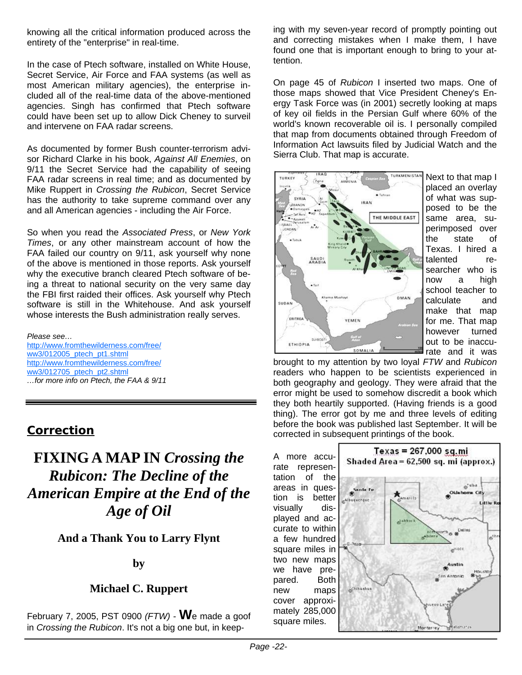knowing all the critical information produced across the entirety of the "enterprise" in real-time.

In the case of Ptech software, installed on White House, Secret Service, Air Force and FAA systems (as well as most American military agencies), the enterprise included all of the real-time data of the above-mentioned agencies. Singh has confirmed that Ptech software could have been set up to allow Dick Cheney to surveil and intervene on FAA radar screens.

As documented by former Bush counter-terrorism advisor Richard Clarke in his book, *Against All Enemies*, on 9/11 the Secret Service had the capability of seeing FAA radar screens in real time; and as documented by Mike Ruppert in *Crossing the Rubicon*, Secret Service has the authority to take supreme command over any and all American agencies - including the Air Force.

So when you read the *Associated Press*, or *New York Times*, or any other mainstream account of how the FAA failed our country on 9/11, ask yourself why none of the above is mentioned in those reports. Ask yourself why the executive branch cleared Ptech software of being a threat to national security on the very same day the FBI first raided their offices. Ask yourself why Ptech software is still in the Whitehouse. And ask yourself whose interests the Bush administration really serves.

#### *Please see…*

http://www.fromthewilderness.com/free/ ww3/012005\_ptech\_pt1.shtml http://www.fromthewilderness.com/free/ ww3/012705\_ptech\_pt2.shtml *…for more info on Ptech, the FAA & 9/11* 

## **Correction**

## **FIXING A MAP IN** *Crossing the Rubicon: The Decline of the American Empire at the End of the Age of Oil*

**And a Thank You to Larry Flynt** 

## **by**

## **Michael C. Ruppert**

February 7, 2005, PST 0900 *(FTW)* - **W**e made a goof in *Crossing the Rubicon*. It's not a big one but, in keeping with my seven-year record of promptly pointing out and correcting mistakes when I make them, I have found one that is important enough to bring to your attention.

On page 45 of *Rubicon* I inserted two maps. One of those maps showed that Vice President Cheney's Energy Task Force was (in 2001) secretly looking at maps of key oil fields in the Persian Gulf where 60% of the world's known recoverable oil is. I personally compiled that map from documents obtained through Freedom of Information Act lawsuits filed by Judicial Watch and the Sierra Club. That map is accurate.



Next to that map I placed an overlay of what was supposed to be the same area, superimposed over the state of Texas. I hired a talented researcher who is now a high school teacher to calculate and make that map for me. That map however turned out to be inaccurate and it was

brought to my attention by two loyal *FTW* and *Rubicon* readers who happen to be scientists experienced in both geography and geology. They were afraid that the error might be used to somehow discredit a book which they both heartily supported. (Having friends is a good thing). The error got by me and three levels of editing before the book was published last September. It will be corrected in subsequent printings of the book.

A more accurate representation of the areas in question is better visually displayed and accurate to within a few hundred square miles in two new maps we have prepared. Both new maps cover approximately 285,000 square miles.

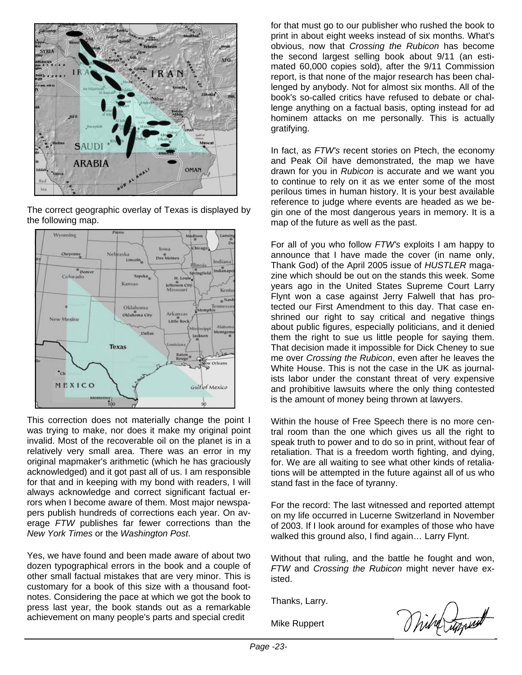

The correct geographic overlay of Texas is displayed by the following map.



This correction does not materially change the point I was trying to make, nor does it make my original point invalid. Most of the recoverable oil on the planet is in a relatively very small area. There was an error in my original mapmaker's arithmetic (which he has graciously acknowledged) and it got past all of us. I am responsible for that and in keeping with my bond with readers, I will always acknowledge and correct significant factual errors when I become aware of them. Most major newspapers publish hundreds of corrections each year. On average *FTW* publishes far fewer corrections than the *New York Times* or the *Washington Post*.

Yes, we have found and been made aware of about two dozen typographical errors in the book and a couple of other small factual mistakes that are very minor. This is customary for a book of this size with a thousand footnotes. Considering the pace at which we got the book to press last year, the book stands out as a remarkable achievement on many people's parts and special credit

for that must go to our publisher who rushed the book to print in about eight weeks instead of six months. What's obvious, now that *Crossing the Rubicon* has become the second largest selling book about 9/11 (an estimated 60,000 copies sold), after the 9/11 Commission report, is that none of the major research has been challenged by anybody. Not for almost six months. All of the book's so-called critics have refused to debate or challenge anything on a factual basis, opting instead for ad hominem attacks on me personally. This is actually gratifying.

In fact, as *FTW's* recent stories on Ptech, the economy and Peak Oil have demonstrated, the map we have drawn for you in *Rubicon* is accurate and we want you to continue to rely on it as we enter some of the most perilous times in human history. It is your best available reference to judge where events are headed as we begin one of the most dangerous years in memory. It is a map of the future as well as the past.

For all of you who follow *FTW's* exploits I am happy to announce that I have made the cover (in name only, Thank God) of the April 2005 issue of *HUSTLER* magazine which should be out on the stands this week. Some years ago in the United States Supreme Court Larry Flynt won a case against Jerry Falwell that has protected our First Amendment to this day. That case enshrined our right to say critical and negative things about public figures, especially politicians, and it denied them the right to sue us little people for saying them. That decision made it impossible for Dick Cheney to sue me over *Crossing the Rubicon*, even after he leaves the White House. This is not the case in the UK as journalists labor under the constant threat of very expensive and prohibitive lawsuits where the only thing contested is the amount of money being thrown at lawyers.

Within the house of Free Speech there is no more central room than the one which gives us all the right to speak truth to power and to do so in print, without fear of retaliation. That is a freedom worth fighting, and dying, for. We are all waiting to see what other kinds of retaliations will be attempted in the future against all of us who stand fast in the face of tyranny.

For the record: The last witnessed and reported attempt on my life occurred in Lucerne Switzerland in November of 2003. If I look around for examples of those who have walked this ground also, I find again… Larry Flynt.

Without that ruling, and the battle he fought and won, *FTW* and *Crossing the Rubicon* might never have existed.

Thanks, Larry.

Mike Ruppert

With Luppert